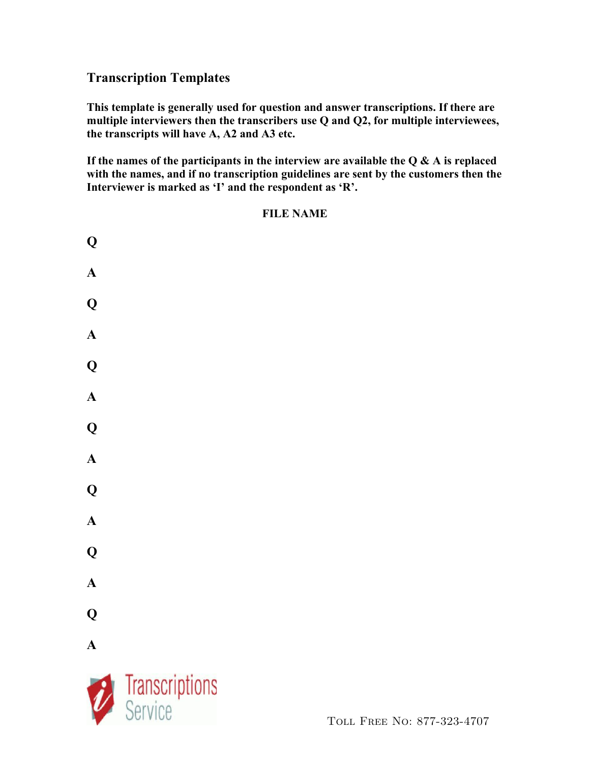## **Transcription Templates**

**This template is generally used for question and answer transcriptions. If there are multiple interviewers then the transcribers use Q and Q2, for multiple interviewees, the transcripts will have A, A2 and A3 etc.** 

**If the names of the participants in the interview are available the Q & A is replaced with the names, and if no transcription guidelines are sent by the customers then the Interviewer is marked as 'I' and the respondent as 'R'.**

### **FILE NAME**



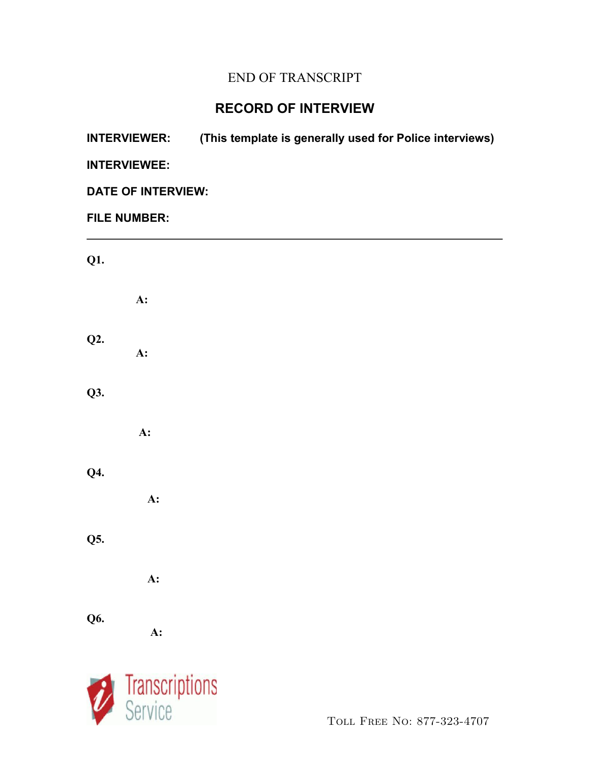# END OF TRANSCRIPT

# **RECORD OF INTERVIEW**

| <b>INTERVIEWER:</b>       |                | (This template is generally used for Police interviews) |  |
|---------------------------|----------------|---------------------------------------------------------|--|
| <b>INTERVIEWEE:</b>       |                |                                                         |  |
| <b>DATE OF INTERVIEW:</b> |                |                                                         |  |
| <b>FILE NUMBER:</b>       |                |                                                         |  |
| Q1.                       |                |                                                         |  |
|                           | A:             |                                                         |  |
| Q2.                       | A:             |                                                         |  |
| Q3.                       |                |                                                         |  |
|                           | A:             |                                                         |  |
| <b>Q4.</b>                | A:             |                                                         |  |
| Q5.                       |                |                                                         |  |
|                           | A:             |                                                         |  |
| <b>Q6.</b>                | A:             |                                                         |  |
|                           | Transcriptions |                                                         |  |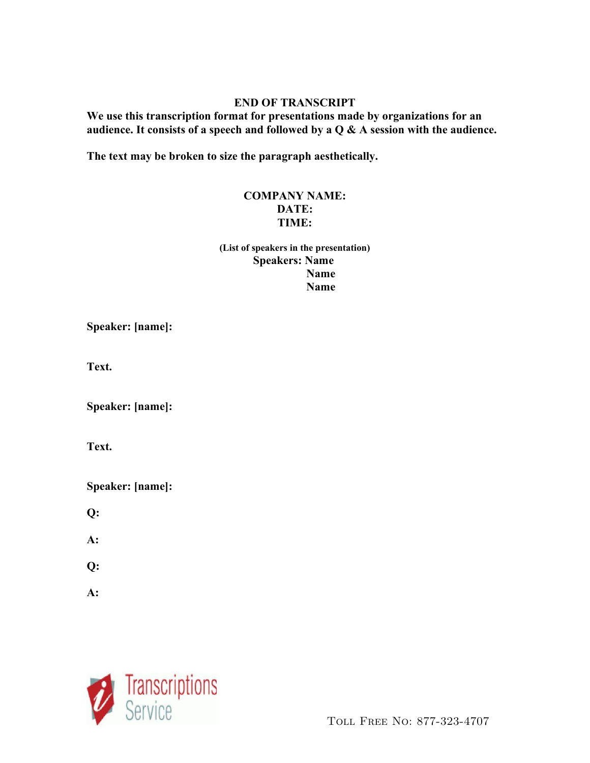#### **END OF TRANSCRIPT**

**We use this transcription format for presentations made by organizations for an audience. It consists of a speech and followed by a Q & A session with the audience.**

**The text may be broken to size the paragraph aesthetically.**

#### **COMPANY NAME: DATE: TIME:**

**(List of speakers in the presentation) Speakers: Name Name** *Name* 

**Speaker: [name]:**

**Text.**

**Speaker: [name]:**

**Text.** 

**Speaker: [name]:**

**Q:**

**A:**

**Q:**

**A:**